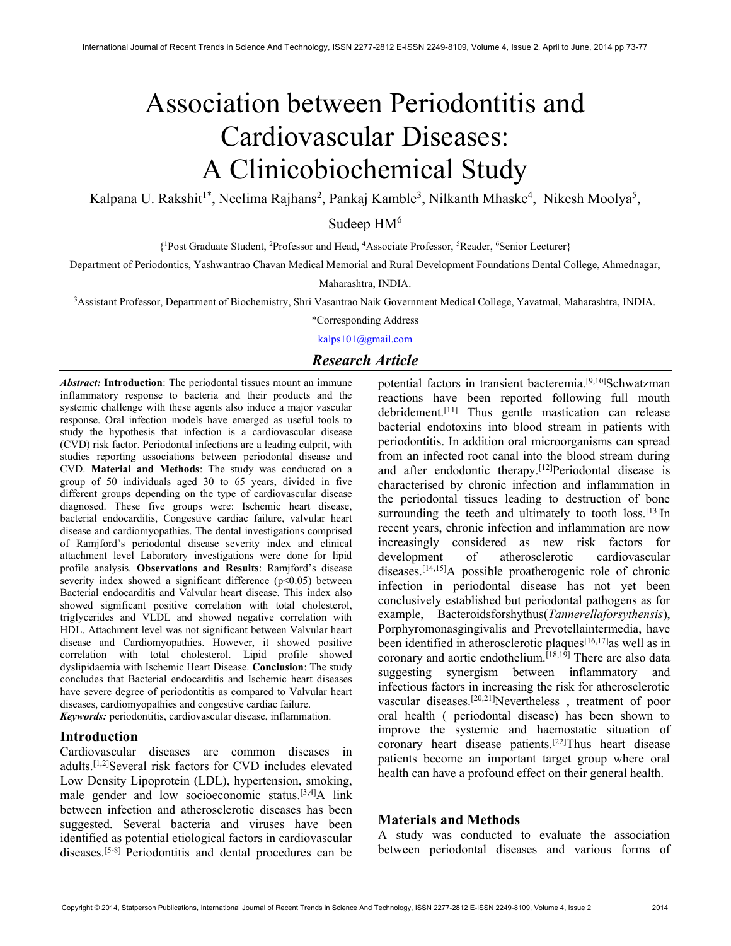# Association between Periodontitis and Cardiovascular Diseases: A Clinicobiochemical Study

Kalpana U. Rakshit<sup>1\*</sup>, Neelima Rajhans<sup>2</sup>, Pankaj Kamble<sup>3</sup>, Nilkanth Mhaske<sup>4</sup>, Nikesh Moolya<sup>5</sup>,

Sudeep  $HM<sup>6</sup>$ 

{ <sup>1</sup>Post Graduate Student, <sup>2</sup>Professor and Head, <sup>4</sup>Associate Professor, <sup>5</sup>Reader, <sup>6</sup>Senior Lecturer}

Department of Periodontics, Yashwantrao Chavan Medical Memorial and Rural Development Foundations Dental College, Ahmednagar,

Maharashtra, INDIA.

<sup>3</sup>Assistant Professor, Department of Biochemistry, Shri Vasantrao Naik Government Medical College, Yavatmal, Maharashtra, INDIA.

\*Corresponding Address

kalps101@gmail.com

# Research Article

Abstract: Introduction: The periodontal tissues mount an immune inflammatory response to bacteria and their products and the systemic challenge with these agents also induce a major vascular response. Oral infection models have emerged as useful tools to study the hypothesis that infection is a cardiovascular disease (CVD) risk factor. Periodontal infections are a leading culprit, with studies reporting associations between periodontal disease and CVD. Material and Methods: The study was conducted on a group of 50 individuals aged 30 to 65 years, divided in five different groups depending on the type of cardiovascular disease diagnosed. These five groups were: Ischemic heart disease, bacterial endocarditis, Congestive cardiac failure, valvular heart disease and cardiomyopathies. The dental investigations comprised of Ramjford's periodontal disease severity index and clinical attachment level Laboratory investigations were done for lipid profile analysis. Observations and Results: Ramjford's disease severity index showed a significant difference  $(p<0.05)$  between Bacterial endocarditis and Valvular heart disease. This index also showed significant positive correlation with total cholesterol, triglycerides and VLDL and showed negative correlation with HDL. Attachment level was not significant between Valvular heart disease and Cardiomyopathies. However, it showed positive correlation with total cholesterol. Lipid profile showed dyslipidaemia with Ischemic Heart Disease. Conclusion: The study concludes that Bacterial endocarditis and Ischemic heart diseases have severe degree of periodontitis as compared to Valvular heart diseases, cardiomyopathies and congestive cardiac failure.

Keywords: periodontitis, cardiovascular disease, inflammation.

### Introduction

Cardiovascular diseases are common diseases in adults.[1,2]Several risk factors for CVD includes elevated Low Density Lipoprotein (LDL), hypertension, smoking, male gender and low socioeconomic status.[3,4]A link between infection and atherosclerotic diseases has been suggested. Several bacteria and viruses have been identified as potential etiological factors in cardiovascular diseases.<sup>[5-8]</sup> Periodontitis and dental procedures can be

potential factors in transient bacteremia.<sup>[9,10]</sup>Schwatzman reactions have been reported following full mouth debridement.[11] Thus gentle mastication can release bacterial endotoxins into blood stream in patients with periodontitis. In addition oral microorganisms can spread from an infected root canal into the blood stream during and after endodontic therapy.<sup>[12]</sup>Periodontal disease is characterised by chronic infection and inflammation in the periodontal tissues leading to destruction of bone surrounding the teeth and ultimately to tooth loss.<sup>[13]</sup>In recent years, chronic infection and inflammation are now increasingly considered as new risk factors for development of atherosclerotic cardiovascular diseases.[14,15]A possible proatherogenic role of chronic infection in periodontal disease has not yet been conclusively established but periodontal pathogens as for example, Bacteroidsforshythus(Tannerellaforsythensis), Porphyromonasgingivalis and Prevotellaintermedia, have been identified in atherosclerotic plaques<sup>[16,17]</sup>as well as in coronary and aortic endothelium.<sup>[18,19]</sup> There are also data suggesting synergism between inflammatory and infectious factors in increasing the risk for atherosclerotic vascular diseases.[20,21]Nevertheless , treatment of poor oral health ( periodontal disease) has been shown to improve the systemic and haemostatic situation of coronary heart disease patients.[22]Thus heart disease patients become an important target group where oral health can have a profound effect on their general health.

#### Materials and Methods

A study was conducted to evaluate the association between periodontal diseases and various forms of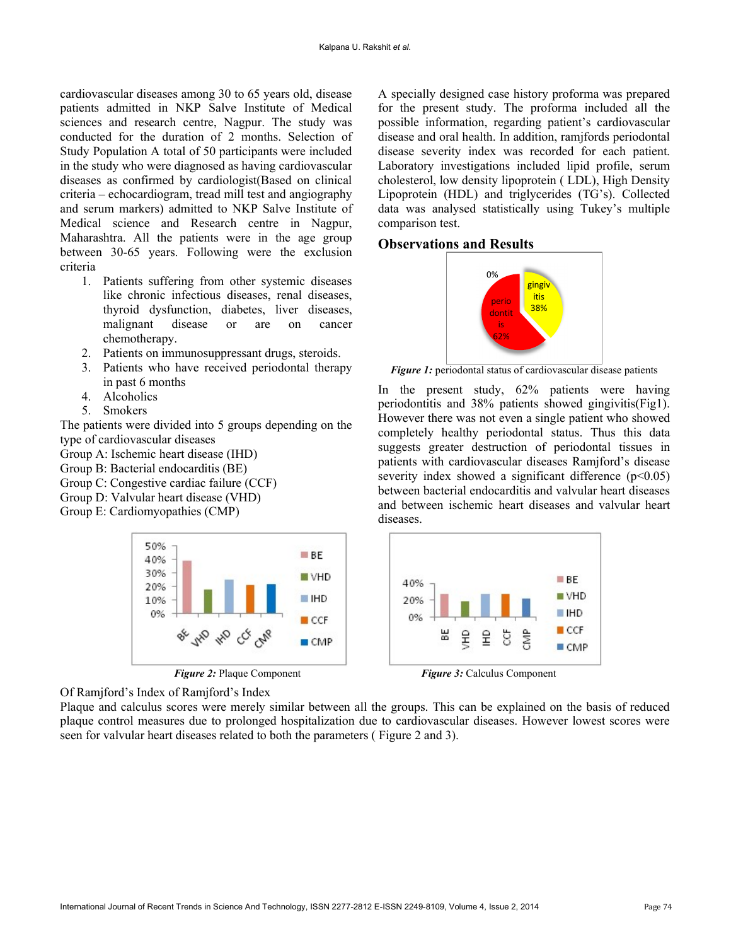cardiovascular diseases among 30 to 65 years old, disease patients admitted in NKP Salve Institute of Medical sciences and research centre, Nagpur. The study was conducted for the duration of 2 months. Selection of Study Population A total of 50 participants were included in the study who were diagnosed as having cardiovascular diseases as confirmed by cardiologist(Based on clinical criteria – echocardiogram, tread mill test and angiography and serum markers) admitted to NKP Salve Institute of Medical science and Research centre in Nagpur, Maharashtra. All the patients were in the age group between 30-65 years. Following were the exclusion criteria

- 1. Patients suffering from other systemic diseases like chronic infectious diseases, renal diseases, thyroid dysfunction, diabetes, liver diseases, malignant disease or are on cancer chemotherapy.
- 2. Patients on immunosuppressant drugs, steroids.
- 3. Patients who have received periodontal therapy in past 6 months
- 4. Alcoholics
- 5. Smokers

The patients were divided into 5 groups depending on the type of cardiovascular diseases

Group A: Ischemic heart disease (IHD)

- Group B: Bacterial endocarditis (BE)
- Group C: Congestive cardiac failure (CCF)

Group D: Valvular heart disease (VHD)

Group E: Cardiomyopathies (CMP)





Of Ramjford's Index of Ramjford's Index

Plaque and calculus scores were merely similar between all the groups. This can be explained on the basis of reduced plaque control measures due to prolonged hospitalization due to cardiovascular diseases. However lowest scores were seen for valvular heart diseases related to both the parameters ( Figure 2 and 3).

A specially designed case history proforma was prepared for the present study. The proforma included all the possible information, regarding patient's cardiovascular disease and oral health. In addition, ramjfords periodontal disease severity index was recorded for each patient. Laboratory investigations included lipid profile, serum cholesterol, low density lipoprotein ( LDL), High Density Lipoprotein (HDL) and triglycerides (TG's). Collected data was analysed statistically using Tukey's multiple comparison test.

## Observations and Results



Figure 1: periodontal status of cardiovascular disease patients

In the present study, 62% patients were having periodontitis and 38% patients showed gingivitis(Fig1). However there was not even a single patient who showed completely healthy periodontal status. Thus this data suggests greater destruction of periodontal tissues in patients with cardiovascular diseases Ramjford's disease severity index showed a significant difference  $(p<0.05)$ between bacterial endocarditis and valvular heart diseases and between ischemic heart diseases and valvular heart diseases.



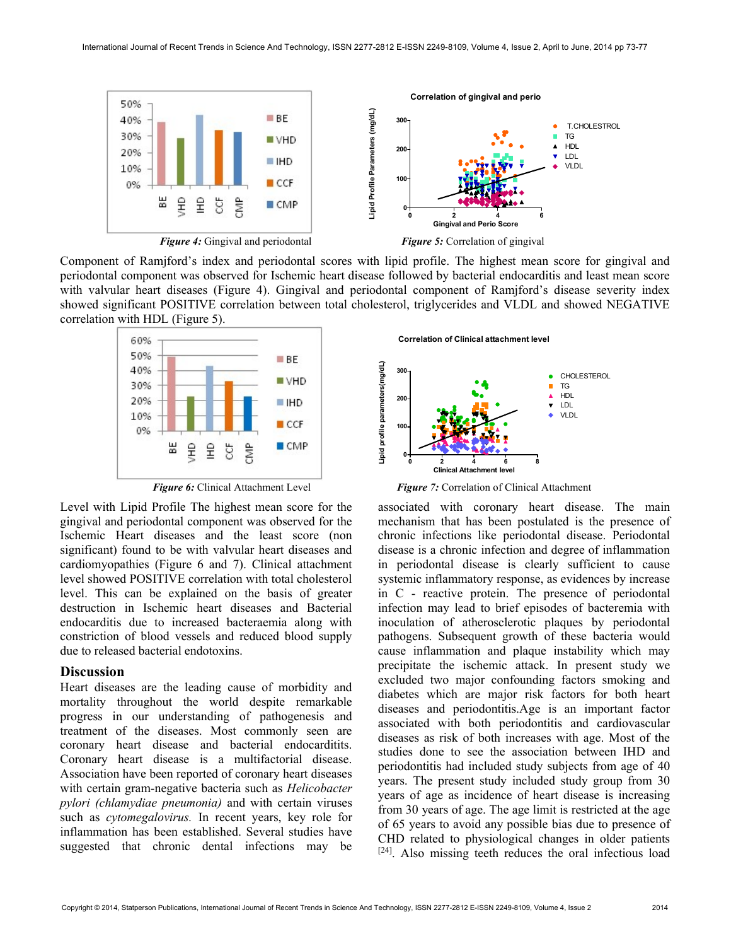

Component of Ramjford's index and periodontal scores with lipid profile. The highest mean score for gingival and periodontal component was observed for Ischemic heart disease followed by bacterial endocarditis and least mean score with valvular heart diseases (Figure 4). Gingival and periodontal component of Ramiford's disease severity index showed significant POSITIVE correlation between total cholesterol, triglycerides and VLDL and showed NEGATIVE correlation with HDL (Figure 5).



Level with Lipid Profile The highest mean score for the gingival and periodontal component was observed for the Ischemic Heart diseases and the least score (non significant) found to be with valvular heart diseases and cardiomyopathies (Figure 6 and 7). Clinical attachment level showed POSITIVE correlation with total cholesterol level. This can be explained on the basis of greater destruction in Ischemic heart diseases and Bacterial endocarditis due to increased bacteraemia along with constriction of blood vessels and reduced blood supply due to released bacterial endotoxins.

#### **Discussion**

Heart diseases are the leading cause of morbidity and mortality throughout the world despite remarkable progress in our understanding of pathogenesis and treatment of the diseases. Most commonly seen are coronary heart disease and bacterial endocarditits. Coronary heart disease is a multifactorial disease. Association have been reported of coronary heart diseases with certain gram-negative bacteria such as Helicobacter pylori (chlamydiae pneumonia) and with certain viruses such as cytomegalovirus. In recent years, key role for inflammation has been established. Several studies have suggested that chronic dental infections may be



Figure 6: Clinical Attachment Level Figure 7: Correlation of Clinical Attachment

associated with coronary heart disease. The main mechanism that has been postulated is the presence of chronic infections like periodontal disease. Periodontal disease is a chronic infection and degree of inflammation in periodontal disease is clearly sufficient to cause systemic inflammatory response, as evidences by increase in C - reactive protein. The presence of periodontal infection may lead to brief episodes of bacteremia with inoculation of atherosclerotic plaques by periodontal pathogens. Subsequent growth of these bacteria would cause inflammation and plaque instability which may precipitate the ischemic attack. In present study we excluded two major confounding factors smoking and diabetes which are major risk factors for both heart diseases and periodontitis.Age is an important factor associated with both periodontitis and cardiovascular diseases as risk of both increases with age. Most of the studies done to see the association between IHD and periodontitis had included study subjects from age of 40 years. The present study included study group from 30 years of age as incidence of heart disease is increasing from 30 years of age. The age limit is restricted at the age of 65 years to avoid any possible bias due to presence of CHD related to physiological changes in older patients [24]. Also missing teeth reduces the oral infectious load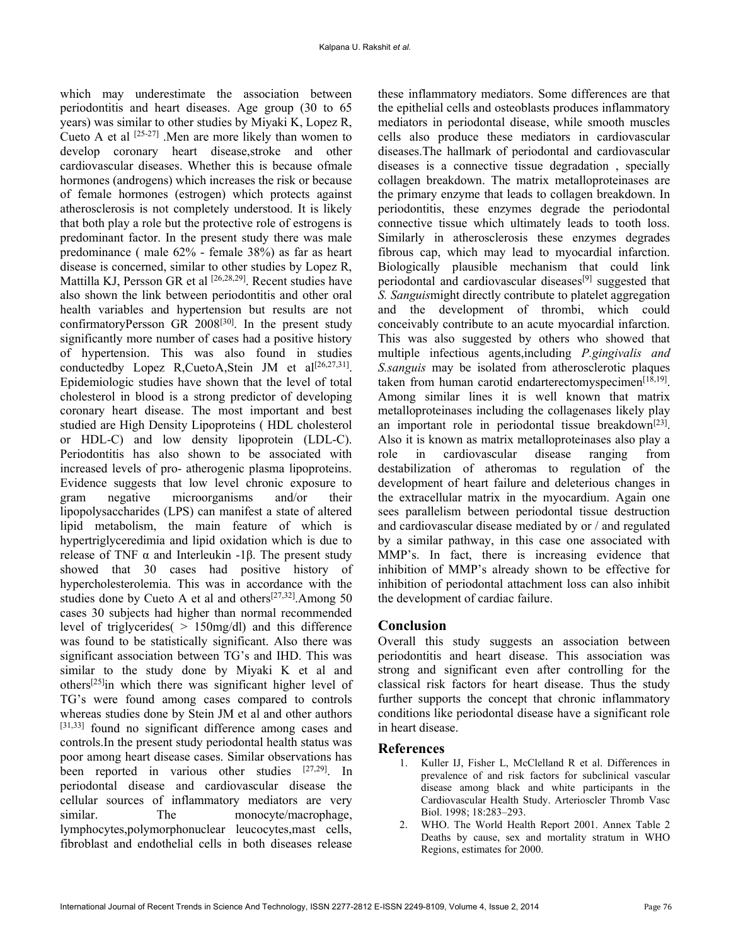which may underestimate the association between periodontitis and heart diseases. Age group (30 to 65 years) was similar to other studies by Miyaki K, Lopez R, Cueto A et al  $[25-27]$ . Men are more likely than women to develop coronary heart disease,stroke and other cardiovascular diseases. Whether this is because ofmale hormones (androgens) which increases the risk or because of female hormones (estrogen) which protects against atherosclerosis is not completely understood. It is likely that both play a role but the protective role of estrogens is predominant factor. In the present study there was male predominance ( male 62% - female 38%) as far as heart disease is concerned, similar to other studies by Lopez R, Mattilla KJ, Persson GR et al [26,28,29]. Recent studies have also shown the link between periodontitis and other oral health variables and hypertension but results are not confirmatoryPersson GR 2008[30]. In the present study significantly more number of cases had a positive history of hypertension. This was also found in studies conductedby Lopez R, CuetoA, Stein JM et al<sup>[26,27,31]</sup>. Epidemiologic studies have shown that the level of total cholesterol in blood is a strong predictor of developing coronary heart disease. The most important and best studied are High Density Lipoproteins ( HDL cholesterol or HDL-C) and low density lipoprotein (LDL-C). Periodontitis has also shown to be associated with increased levels of pro- atherogenic plasma lipoproteins. Evidence suggests that low level chronic exposure to gram negative microorganisms and/or their lipopolysaccharides (LPS) can manifest a state of altered lipid metabolism, the main feature of which is hypertriglyceredimia and lipid oxidation which is due to release of TNF  $\alpha$  and Interleukin -1β. The present study showed that 30 cases had positive history of hypercholesterolemia. This was in accordance with the studies done by Cueto A et al and others<sup>[27,32]</sup>.Among 50 cases 30 subjects had higher than normal recommended level of triglycerides( > 150mg/dl) and this difference was found to be statistically significant. Also there was significant association between TG's and IHD. This was similar to the study done by Miyaki K et al and others[25]in which there was significant higher level of TG's were found among cases compared to controls whereas studies done by Stein JM et al and other authors [31,33] found no significant difference among cases and controls.In the present study periodontal health status was poor among heart disease cases. Similar observations has been reported in various other studies [27,29]. In periodontal disease and cardiovascular disease the cellular sources of inflammatory mediators are very similar. The monocyte/macrophage, lymphocytes,polymorphonuclear leucocytes,mast cells, fibroblast and endothelial cells in both diseases release

these inflammatory mediators. Some differences are that the epithelial cells and osteoblasts produces inflammatory mediators in periodontal disease, while smooth muscles cells also produce these mediators in cardiovascular diseases.The hallmark of periodontal and cardiovascular diseases is a connective tissue degradation , specially collagen breakdown. The matrix metalloproteinases are the primary enzyme that leads to collagen breakdown. In periodontitis, these enzymes degrade the periodontal connective tissue which ultimately leads to tooth loss. Similarly in atherosclerosis these enzymes degrades fibrous cap, which may lead to myocardial infarction. Biologically plausible mechanism that could link periodontal and cardiovascular diseases[9] suggested that S. Sanguismight directly contribute to platelet aggregation and the development of thrombi, which could conceivably contribute to an acute myocardial infarction. This was also suggested by others who showed that multiple infectious agents,including P.gingivalis and S.sanguis may be isolated from atherosclerotic plaques taken from human carotid endarterectomyspecimen<sup>[18,19]</sup>. Among similar lines it is well known that matrix metalloproteinases including the collagenases likely play an important role in periodontal tissue breakdown<sup>[23]</sup>. Also it is known as matrix metalloproteinases also play a role in cardiovascular disease ranging from destabilization of atheromas to regulation of the development of heart failure and deleterious changes in the extracellular matrix in the myocardium. Again one sees parallelism between periodontal tissue destruction and cardiovascular disease mediated by or / and regulated by a similar pathway, in this case one associated with MMP's. In fact, there is increasing evidence that inhibition of MMP's already shown to be effective for inhibition of periodontal attachment loss can also inhibit the development of cardiac failure.

#### Conclusion

Overall this study suggests an association between periodontitis and heart disease. This association was strong and significant even after controlling for the classical risk factors for heart disease. Thus the study further supports the concept that chronic inflammatory conditions like periodontal disease have a significant role in heart disease.

### References

- 1. Kuller IJ, Fisher L, McClelland R et al. Differences in prevalence of and risk factors for subclinical vascular disease among black and white participants in the Cardiovascular Health Study. Arterioscler Thromb Vasc Biol. 1998; 18:283–293.
- 2. WHO. The World Health Report 2001. Annex Table 2 Deaths by cause, sex and mortality stratum in WHO Regions, estimates for 2000.